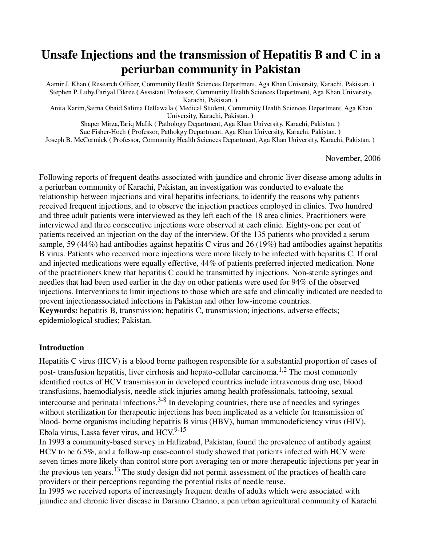# **Unsafe Injections and the transmission of Hepatitis B and C in a periurban community in Pakistan**

Aamir J. Khan **(** Research Officer, Community Health Sciences Department, Aga Khan University, Karachi, Pakistan. **)**  Stephen P. Luby,Fariyal Fikree **(** Assistant Professor, Community Health Sciences Department, Aga Khan University, Karachi, Pakistan. **)** 

Anita Karim,Saima Obaid,Salima DelIawaIa **(** Medical Student, Community Health Sciences Department, Aga Khan University, Karachi, Pakistan. **)** 

Shaper Mirza,Tariq MaIik **(** Pathology Department, Aga Khan University, Karachi, Pakistan. **)**  Sue Fisher-Hoch **(** Professor, Pathokgy Department, Aga Khan University, Karachi, Pakistan. **)**  Joseph B. McCormick **(** Professor, Community Health Sciences Department, Aga Khan University, Karachi, Pakistan. **)** 

November, 2006

Following reports of frequent deaths associated with jaundice and chronic liver disease among adults in a periurban community of Karachi, Pakistan, an investigation was conducted to evaluate the relationship between injections and viral hepatitis infections, to identify the reasons why patients received frequent injections, and to observe the injection practices employed in clinics. Two hundred and three adult patients were interviewed as they left each of the 18 area clinics. Practitioners were interviewed and three consecutive injections were observed at each clinic. Eighty-one per cent of patients received an injection on the day of the interview. Of the 135 patients who provided a serum sample, 59 (44%) had antibodies against hepatitis C virus and 26 (19%) had antibodies against hepatitis B virus. Patients who received more injections were more likely to be infected with hepatitis C. If oral and injected medications were equally effective, 44% of patients preferred injected medication. None of the practitioners knew that hepatitis C could be transmitted by injections. Non-sterile syringes and needles that had been used earlier in the day on other patients were used for 94% of the observed injections. Interventions to limit injections to those which are safe and clinically indicated are needed to prevent injectionassociated infections in Pakistan and other low-income countries. **Keywords:** hepatitis B, transmission; hepatitis C, transmission; injections, adverse effects; epidemiological studies; Pakistan.

### **Introduction**

Hepatitis C virus (HCV) is a blood borne pathogen responsible for a substantial proportion of cases of post- transfusion hepatitis, liver cirrhosis and hepato-cellular carcinoma.<sup>1,2</sup> The most commonly identified routes of HCV transmission in developed countries include intravenous drug use, blood transfusions, haemodialysis, needle-stick injuries among health professionals, tattooing, sexual intercourse and perinatal infections.<sup>3-8</sup> In developing countries, there use of needles and syringes without sterilization for therapeutic injections has been implicated as a vehicle for transmission of blood- borne organisms including hepatitis B virus (HBV), human immunodeficiency virus (HIV), Ebola virus, Lassa fever virus, and  $HCV.<sup>9-15</sup>$ 

In 1993 a community-based survey in Hafizabad, Pakistan, found the prevalence of antibody against HCV to be 6.5%, and a follow-up case-control study showed that patients infected with HCV were seven times more likely than control store port averaging ten or more therapeutic injections per year in the previous ten years.13 The study design did not permit assessment of the practices of health care providers or their perceptions regarding the potential risks of needle reuse.

In 1995 we received reports of increasingly frequent deaths of adults which were associated with jaundice and chronic liver disease in Darsano Channo, a pen urban agricultural community of Karachi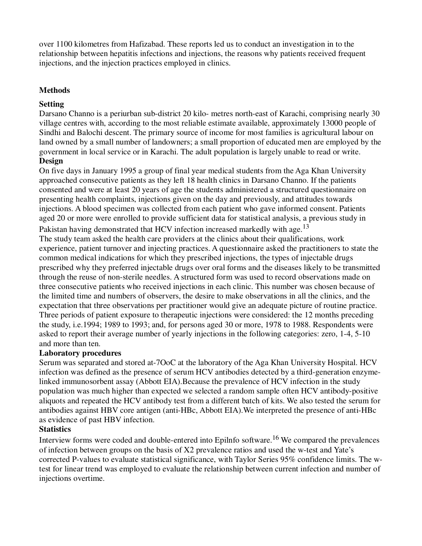over 1100 kilometres from Hafizabad. These reports led us to conduct an investigation in to the relationship between hepatitis infections and injections, the reasons why patients received frequent injections, and the injection practices employed in clinics.

## **Methods**

## **Setting**

Darsano Channo is a periurban sub-district 20 kilo- metres north-east of Karachi, comprising nearly 30 village centres with, according to the most reliable estimate available, approximately 13000 people of Sindhi and Balochi descent. The primary source of income for most families is agricultural labour on land owned by a small number of landowners; a small proportion of educated men are employed by the government in local service or in Karachi. The adult population is largely unable to read or write. **Design**

On five days in January 1995 a group of final year medical students from the Aga Khan University approached consecutive patients as they left 18 health clinics in Darsano Channo. If the patients consented and were at least 20 years of age the students administered a structured questionnaire on presenting health complaints, injections given on the day and previously, and attitudes towards injections. A blood specimen was collected from each patient who gave informed consent. Patients aged 20 or more were enrolled to provide sufficient data for statistical analysis, a previous study in

Pakistan having demonstrated that HCV infection increased markedly with age.<sup>13</sup>

The study team asked the health care providers at the clinics about their qualifications, work experience, patient turnover and injecting practices. A questionnaire asked the practitioners to state the common medical indications for which they prescribed injections, the types of injectable drugs prescribed why they preferred injectable drugs over oral forms and the diseases likely to be transmitted through the reuse of non-sterile needles. A structured form was used to record observations made on three consecutive patients who received injections in each clinic. This number was chosen because of the limited time and numbers of observers, the desire to make observations in all the clinics, and the expectation that three observations per practitioner would give an adequate picture of routine practice. Three periods of patient exposure to therapeutic injections were considered: the 12 months preceding the study, i.e.1994; 1989 to 1993; and, for persons aged 30 or more, 1978 to 1988. Respondents were asked to report their average number of yearly injections in the following categories: zero, 1-4, 5-10 and more than ten.

### **Laboratory procedures**

Serum was separated and stored at-7OoC at the laboratory of the Aga Khan University Hospital. HCV infection was defined as the presence of serum HCV antibodies detected by a third-generation enzymelinked immunosorbent assay (Abbott EIA).Because the prevalence of HCV infection in the study population was much higher than expected we selected a random sample often HCV antibody-positive aliquots and repeated the HCV antibody test from a different batch of kits. We also tested the serum for antibodies against HBV core antigen (anti-HBc, Abbott EIA).We interpreted the presence of anti-HBc as evidence of past HBV infection.

# **Statistics**

Interview forms were coded and double-entered into Epilnfo software.<sup>16</sup> We compared the prevalences of infection between groups on the basis of X2 prevalence ratios and used the w-test and Yate's corrected P-values to evaluate statistical significance, with Taylor Series 95% confidence limits. The wtest for linear trend was employed to evaluate the relationship between current infection and number of injections overtime.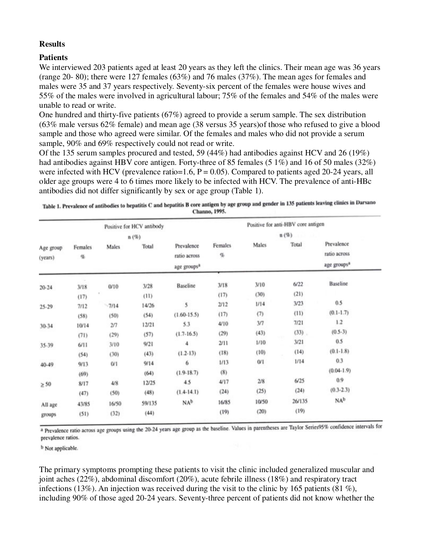### **Results**

### **Patients**

We interviewed 203 patients aged at least 20 years as they left the clinics. Their mean age was 36 years (range 20- 80); there were 127 females (63%) and 76 males (37%). The mean ages for females and males were 35 and 37 years respectively. Seventy-six percent of the females were house wives and 55% of the males were involved in agricultural labour; 75% of the females and 54% of the males were unable to read or write.

One hundred and thirty-five patients (67%) agreed to provide a serum sample. The sex distribution (63% male versus 62% female) and mean age (38 versus 35 years)of those who refused to give a blood sample and those who agreed were similar. Of the females and males who did not provide a serum sample, 90% and 69% respectively could not read or write.

Of the 135 serum samples procured and tested, 59 (44%) had antibodies against HCV and 26 (19%) had antibodies against HBV core antigen. Forty-three of 85 females (5 1%) and 16 of 50 males (32%) were infected with HCV (prevalence ratio=1.6,  $P = 0.05$ ). Compared to patients aged 20-24 years, all older age groups were 4 to 6 times more likely to be infected with HCV. The prevalence of anti-HBc antibodies did not differ significantly by sex or age group (Table 1).

| Table 1. Prevalence of antibodies to hepatitis C and hepatitis B core antigen by age group and gender in 135 patients leaving clinics in Darsan. |  |
|--------------------------------------------------------------------------------------------------------------------------------------------------|--|
| Channo, 1995.                                                                                                                                    |  |

| Positive for HCV antibody<br>$n(\%)$ |       |         |        | Positive for anti-HBV core antigen<br>$n(\%)$ |       |       |          |                      |
|--------------------------------------|-------|---------|--------|-----------------------------------------------|-------|-------|----------|----------------------|
|                                      |       |         |        |                                               |       |       |          | Age group<br>(years) |
| $20 - 24$                            | 3/18  | 0/10    | 3/28   | Baseline                                      | 3/18  | 3/10  | 6/22     | Baseline             |
|                                      | (17)  |         | (11)   |                                               | (17)  | (30)  | (21)     |                      |
| 25-29                                | 7/12  | $-7/14$ | 14/26  | 5                                             | 2/12  | 1/14  | 3/23     | 0.5                  |
|                                      | (58)  | (50)    | (54)   | $(1.60 - 15.5)$                               | (17)  | (7)   | (11)     | $(0.1-1.7)$          |
| 30-34                                | 10/14 | 2/7     | 12/21  | 5.3                                           | 4/10  | 3/7   | 7/21     | 1.2                  |
|                                      | (71)  | (29)    | (57)   | $(1.7 - 16.5)$                                | (29)  | (43)  | $(33)$ . | $(0.5-3)$            |
| 35-39                                | 6/11  | 3/10    | 9/21   | 4                                             | 2/11  | 1/10  | 3/21     | 0.5                  |
|                                      | (54)  | (30)    | (43)   | $(1.2-13)$                                    | (18)  | (10)  | (14)     | $(0.1 - 1.8)$        |
| 40-49                                | 9/13  | 0/1     | 9/14   | 6                                             | 1/13  | 0/1   | 1/14     | 0.3                  |
|                                      | (69)  |         | (64)   | $(1.9-18.7)$                                  | (8)   |       |          | $(0.04-1.9)$         |
| $\geq 50$                            | 8/17  | 4/8     | 12/25  | 4.5                                           | 4/17  | 2/8   | 6/25     | 0.9                  |
|                                      | (47)  | (50)    | (48)   | $(1.4-14.1)$                                  | (24)  | (25)  | (24)     | $(0.3 - 2.3)$        |
| All age                              | 43/85 | 16/50   | 59/135 | NA <sup>b</sup>                               | 16/85 | 10/50 | 26/135   | NA <sup>b</sup>      |
| groups                               | (51)  | (32)    | (44)   |                                               | (19)  | (20)  | (19)     |                      |

a Prevalence ratio across age groups using the 20-24 years age group as the baseline. Values in parentheses are Taylor Series95% confidence intervals for prevalence ratios.

<sup>b</sup> Not applicable.

The primary symptoms prompting these patients to visit the clinic included generalized muscular and joint aches (22%), abdominal discomfort (20%), acute febrile illness (18%) and respiratory tract infections (13%). An injection was received during the visit to the clinic by 165 patients (81 %), including 90% of those aged 20-24 years. Seventy-three percent of patients did not know whether the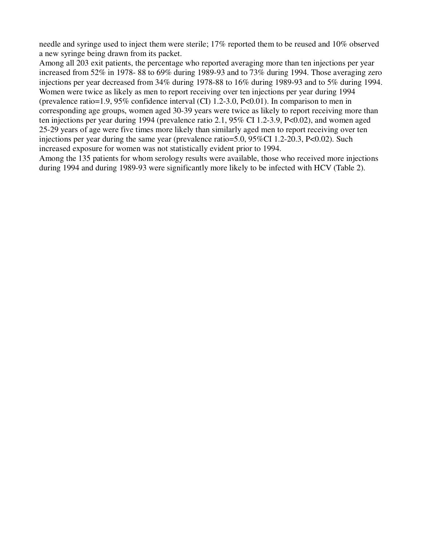needle and syringe used to inject them were sterile; 17% reported them to be reused and 10% observed a new syringe being drawn from its packet.

Among all 203 exit patients, the percentage who reported averaging more than ten injections per year increased from 52% in 1978- 88 to 69% during 1989-93 and to 73% during 1994. Those averaging zero injections per year decreased from 34% during 1978-88 to 16% during 1989-93 and to 5% during 1994. Women were twice as likely as men to report receiving over ten injections per year during 1994 (prevalence ratio=1.9, 95% confidence interval (CI) 1.2-3.0, P<0.01). In comparison to men in corresponding age groups, women aged 30-39 years were twice as likely to report receiving more than ten injections per year during 1994 (prevalence ratio 2.1, 95% CI 1.2-3.9, P<0.02), and women aged 25-29 years of age were five times more likely than similarly aged men to report receiving over ten injections per year during the same year (prevalence ratio=5.0, 95%CI 1.2-20.3, P<0.02). Such increased exposure for women was not statistically evident prior to 1994.

Among the 135 patients for whom serology results were available, those who received more injections during 1994 and during 1989-93 were significantly more likely to be infected with HCV (Table 2).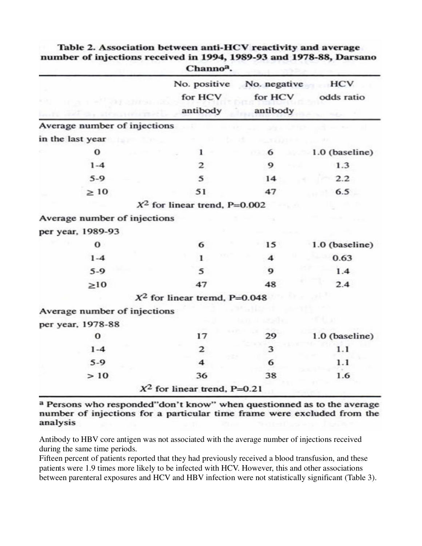|                              | Channo <sup>a</sup> .               |                                     |                   |
|------------------------------|-------------------------------------|-------------------------------------|-------------------|
|                              | No. positive<br>for HCV<br>antibody | No. negative<br>for HCV<br>antibody | HCV<br>odds ratio |
| Average number of injections |                                     |                                     |                   |
| in the last year             |                                     |                                     |                   |
| $\bf{0}$                     | 1                                   | 6                                   | 1.0 (baseline)    |
| $1 - 4$                      | 2                                   | 9                                   | 1.3               |
| $5-9$                        | 5                                   | 14                                  | 2.2               |
| $\geq 10$                    | 51                                  | 47                                  | 6.5               |
|                              | $X^2$ for linear trend, P=0.002     |                                     |                   |
| Average number of injections |                                     |                                     |                   |
| per year, 1989-93            |                                     |                                     |                   |
| $\bf o$                      | 6                                   | 15                                  | 1.0 (baseline)    |
| $1 - 4$                      | 1                                   | $\overline{\mathbf{4}}$             | 0.63              |
| $5-9$                        | 5                                   | 9                                   | 1.4               |
| $\geq 10$                    | 47                                  | 48                                  | 2.4               |
|                              | $X^2$ for linear tremd, P=0.048     |                                     |                   |
| Average number of injections |                                     |                                     |                   |
| per year, 1978-88            |                                     |                                     |                   |
| $\bf{0}$                     | 17                                  | 29                                  | 1.0 (baseline)    |
| $1 - 4$                      | $\mathbf{2}$                        | 3                                   | 1.1               |
| $5-9$                        | $\overline{\mathbf{4}}$             | 6                                   | 1.1               |
| >10                          | 36                                  | 38                                  | 1.6               |
|                              | $X^2$ for linear trend, P=0.21      |                                     |                   |

Table 2. Association between anti-HCV reactivity and average number of injections received in 1994, 1989-93 and 1978-88, Darsano

a Persons who responded"don't know" when questionned as to the average number of injections for a particular time frame were excluded from the analysis

Antibody to HBV core antigen was not associated with the average number of injections received during the same time periods.

Fifteen percent of patients reported that they had previously received a blood transfusion, and these patients were 1.9 times more likely to be infected with HCV. However, this and other associations between parenteral exposures and HCV and HBV infection were not statistically significant (Table 3).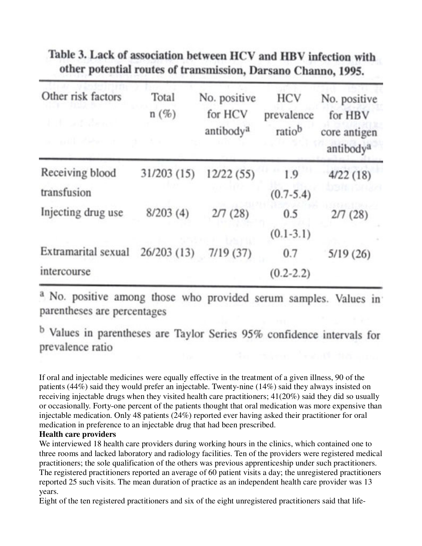| Other risk factors<br>E. H. Loth Bene<br><b>BOTT Alexan</b> | Total<br>$n(\%)$ | No. positive<br>for HCV<br>antibody <sup>a</sup> | <b>HCV</b><br>prevalence<br>ratiob | No. positive<br>for HBV<br>core antigen<br>antibody <sup>a</sup> |
|-------------------------------------------------------------|------------------|--------------------------------------------------|------------------------------------|------------------------------------------------------------------|
| Receiving blood                                             | 31/203(15)       | 12/22(55)                                        | 1.9                                | 4/22(18)                                                         |
| transfusion                                                 |                  |                                                  | $(0.7 - 5.4)$                      |                                                                  |
| Injecting drug use                                          | 8/203(4)         | 2/7(28)                                          | 0.5                                | 2/7(28)                                                          |
|                                                             |                  |                                                  | $(0.1-3.1)$                        |                                                                  |
| Extramarital sexual                                         | 26/203(13)       | 7/19(37)                                         | 0.7                                | 5/19(26)                                                         |
| intercourse                                                 |                  |                                                  | $(0.2 - 2.2)$                      |                                                                  |

# Table 3. Lack of association between HCV and HBV infection with other potential routes of transmission, Darsano Channo, 1995.

<sup>a</sup> No. positive among those who provided serum samples. Values in parentheses are percentages

<sup>b</sup> Values in parentheses are Taylor Series 95% confidence intervals for prevalence ratio

If oral and injectable medicines were equally effective in the treatment of a given illness, 90 of the patients (44%) said they would prefer an injectable. Twenty-nine (14%) said they always insisted on receiving injectable drugs when they visited health care practitioners; 41(20%) said they did so usually or occasionally. Forty-one percent of the patients thought that oral medication was more expensive than injectable medication. Only 48 patients (24%) reported ever having asked their practitioner for oral medication in preference to an injectable drug that had been prescribed.

### **Health care providers**

We interviewed 18 health care providers during working hours in the clinics, which contained one to three rooms and lacked laboratory and radiology facilities. Ten of the providers were registered medical practitioners; the sole qualification of the others was previous apprenticeship under such practitioners. The registered practitioners reported an average of 60 patient visits a day; the unregistered practitioners reported 25 such visits. The mean duration of practice as an independent health care provider was 13 years.

Eight of the ten registered practitioners and six of the eight unregistered practitioners said that life-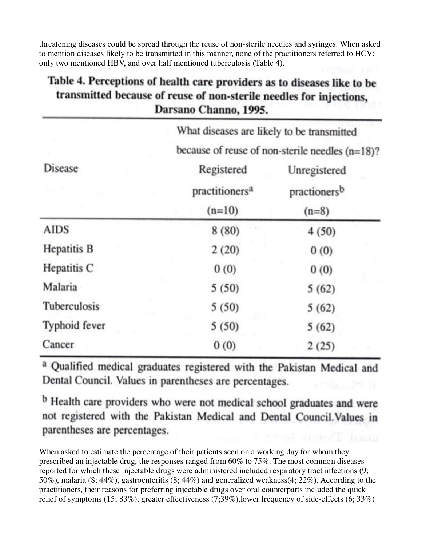threatening diseases could be spread through the reuse of non-sterile needles and syringes. When asked to mention diseases likely to be transmitted in this manner, none of the practitioners referred to HCV; only two mentioned HBV, and over half mentioned tuberculosis (Table 4).

# Table 4. Perceptions of health care providers as to diseases like to be transmitted because of reuse of non-sterile needles for injections, Darsano Channo, 1995.

|                    | What diseases are likely to be transmitted         |                          |  |  |  |
|--------------------|----------------------------------------------------|--------------------------|--|--|--|
|                    | because of reuse of non-sterile needles $(n=18)$ ? |                          |  |  |  |
| <b>Disease</b>     | Registered                                         | Unregistered             |  |  |  |
|                    | practitioners <sup>a</sup>                         | practioners <sup>b</sup> |  |  |  |
|                    | $(n=10)$                                           | $(n=8)$                  |  |  |  |
| <b>AIDS</b>        | 8(80)                                              | 4(50)                    |  |  |  |
| <b>Hepatitis B</b> | 2(20)                                              | 0(0)                     |  |  |  |
| Hepatitis C        | 0(0)                                               | 0(0)                     |  |  |  |
| Malaria            | 5(50)                                              | 5(62)                    |  |  |  |
| Tuberculosis       | 5(50)                                              | 5(62)                    |  |  |  |
| Typhoid fever      | 5(50)                                              | 5(62)                    |  |  |  |
| Cancer             | 0(0)                                               | 2(25)                    |  |  |  |

a Qualified medical graduates registered with the Pakistan Medical and Dental Council. Values in parentheses are percentages.

<sup>b</sup> Health care providers who were not medical school graduates and were not registered with the Pakistan Medical and Dental Council. Values in parentheses are percentages.

When asked to estimate the percentage of their patients seen on a working day for whom they prescribed an injectable drug, the responses ranged from 60% to 75%. The most common diseases reported for which these injectable drugs were administered included respiratory tract infections (9; 50%), malaria (8; 44%), gastroenteritis (8; 44%) and generalized weakness(4; 22%). According to the practitioners, their reasons for preferring injectable drugs over oral counterparts included the quick relief of symptoms (15; 83%), greater effectiveness (7;39%),lower frequency of side-effects (6; 33%)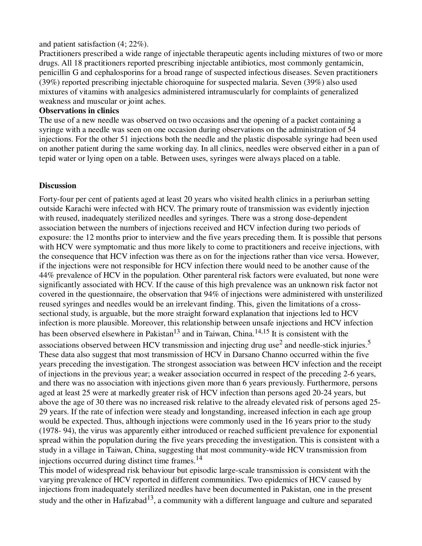#### and patient satisfaction (4; 22%).

Practitioners prescribed a wide range of injectable therapeutic agents including mixtures of two or more drugs. All 18 practitioners reported prescribing injectable antibiotics, most commonly gentamicin, penicillin G and cephalosporins for a broad range of suspected infectious diseases. Seven practitioners (39%) reported prescribing injectable chioroquine for suspected malaria. Seven (39%) also used mixtures of vitamins with analgesics administered intramuscularly for complaints of generalized weakness and muscular or joint aches.

#### **Observations in clinics**

The use of a new needle was observed on two occasions and the opening of a packet containing a syringe with a needle was seen on one occasion during observations on the administration of 54 injections. For the other 51 injections both the needle and the plastic disposable syringe had been used on another patient during the same working day. In all clinics, needles were observed either in a pan of tepid water or lying open on a table. Between uses, syringes were always placed on a table.

### **Discussion**

Forty-four per cent of patients aged at least 20 years who visited health clinics in a periurban setting outside Karachi were infected with HCV. The primary route of transmission was evidently injection with reused, inadequately sterilized needles and syringes. There was a strong dose-dependent association between the numbers of injections received and HCV infection during two periods of exposure: the 12 months prior to interview and the five years preceding them. It is possible that persons with HCV were symptomatic and thus more likely to come to practitioners and receive injections, with the consequence that HCV infection was there as on for the injections rather than vice versa. However, if the injections were not responsible for HCV infection there would need to be another cause of the 44% prevalence of HCV in the population. Other parenteral risk factors were evaluated, but none were significantly associated with HCV. If the cause of this high prevalence was an unknown risk factor not covered in the questionnaire, the observation that 94% of injections were administered with unsterilized reused syringes and needles would be an irrelevant finding. This, given the limitations of a crosssectional study, is arguable, but the more straight forward explanation that injections led to HCV infection is more plausible. Moreover, this relationship between unsafe injections and HCV infection has been observed elsewhere in Pakistan<sup>13</sup> and in Taiwan, China.<sup>14,15</sup> It is consistent with the associations observed between HCV transmission and injecting drug use<sup>2</sup> and needle-stick injuries.<sup>5</sup> These data also suggest that most transmission of HCV in Darsano Channo occurred within the five years preceding the investigation. The strongest association was between HCV infection and the receipt of injections in the previous year; a weaker association occurred in respect of the preceding 2-6 years, and there was no association with injections given more than 6 years previously. Furthermore, persons aged at least 25 were at markedly greater risk of HCV infection than persons aged 20-24 years, but above the age of 30 there was no increased risk relative to the already elevated risk of persons aged 25- 29 years. If the rate of infection were steady and longstanding, increased infection in each age group would be expected. Thus, although injections were commonly used in the 16 years prior to the study (1978- 94), the virus was apparently either introduced or reached sufficient prevalence for exponential spread within the population during the five years preceding the investigation. This is consistent with a study in a village in Taiwan, China, suggesting that most community-wide HCV transmission from injections occurred during distinct time frames.<sup>14</sup>

This model of widespread risk behaviour but episodic large-scale transmission is consistent with the varying prevalence of HCV reported in different communities. Two epidemics of HCV caused by injections from inadequately sterilized needles have been documented in Pakistan, one in the present study and the other in Hafizabad<sup>13</sup>, a community with a different language and culture and separated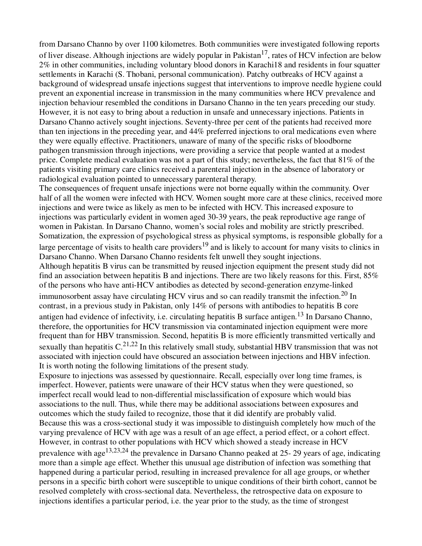from Darsano Channo by over 1100 kilometres. Both communities were investigated following reports of liver disease. Although injections are widely popular in Pakistan<sup>17</sup>, rates of HCV infection are below 2% in other communities, including voluntary blood donors in Karachi18 and residents in four squatter settlements in Karachi (S. Thobani, personal communication). Patchy outbreaks of HCV against a background of widespread unsafe injections suggest that interventions to improve needle hygiene could prevent an exponential increase in transmission in the many communities where HCV prevalence and injection behaviour resembled the conditions in Darsano Channo in the ten years preceding our study. However, it is not easy to bring about a reduction in unsafe and unnecessary injections. Patients in Darsano Channo actively sought injections. Seventy-three per cent of the patients had received more than ten injections in the preceding year, and 44% preferred injections to oral medications even where they were equally effective. Practitioners, unaware of many of the specific risks of bloodborne pathogen transmission through injections, were providing a service that people wanted at a modest price. Complete medical evaluation was not a part of this study; nevertheless, the fact that 81% of the patients visiting primary care clinics received a parenteral injection in the absence of laboratory or radiological evaluation pointed to unnecessary parenteral therapy.

The consequences of frequent unsafe injections were not borne equally within the community. Over half of all the women were infected with HCV. Women sought more care at these clinics, received more injections and were twice as likely as men to be infected with HCV. This increased exposure to injections was particularly evident in women aged 30-39 years, the peak reproductive age range of women in Pakistan. In Darsano Channo, women's social roles and mobility are strictly prescribed. Somatization, the expression of psychological stress as physical symptoms, is responsible globally for a large percentage of visits to health care providers<sup>19</sup> and is likely to account for many visits to clinics in Darsano Channo. When Darsano Channo residents felt unwell they sought injections. Although hepatitis B virus can be transmitted by reused injection equipment the present study did not find an association between hepatitis B and injections. There are two likely reasons for this. First, 85% of the persons who have anti-HCV antibodies as detected by second-generation enzyme-linked immunosorbent assay have circulating HCV virus and so can readily transmit the infection.20 In contrast, in a previous study in Pakistan, only 14% of persons with antibodies to hepatitis B core

antigen had evidence of infectivity, i.e. circulating hepatitis B surface antigen.<sup>13</sup> In Darsano Channo, therefore, the opportunities for HCV transmission via contaminated injection equipment were more frequent than for HBV transmission. Second, hepatitis B is more efficiently transmitted vertically and sexually than hepatitis  $C^{21,22}$  In this relatively small study, substantial HBV transmission that was not associated with injection could have obscured an association between injections and HBV infection. It is worth noting the following limitations of the present study.

Exposure to injections was assessed by questionnaire. Recall, especially over long time frames, is imperfect. However, patients were unaware of their HCV status when they were questioned, so imperfect recall would lead to non-differential misclassification of exposure which would bias associations to the null. Thus, while there may be additional associations between exposures and outcomes which the study failed to recognize, those that it did identify are probably valid. Because this was a cross-sectional study it was impossible to distinguish completely how much of the varying prevalence of HCV with age was a result of an age effect, a period effect, or a cohort effect. However, in contrast to other populations with HCV which showed a steady increase in HCV prevalence with age<sup>13,23,24</sup> the prevalence in Darsano Channo peaked at 25-29 years of age, indicating more than a simple age effect. Whether this unusual age distribution of infection was something that happened during a particular period, resulting in increased prevalence for all age groups, or whether persons in a specific birth cohort were susceptible to unique conditions of their birth cohort, cannot be resolved completely with cross-sectional data. Nevertheless, the retrospective data on exposure to injections identifies a particular period, i.e. the year prior to the study, as the time of strongest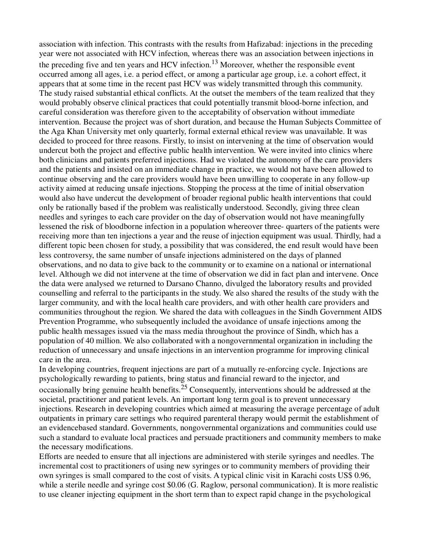association with infection. This contrasts with the results from Hafizabad: injections in the preceding year were not associated with HCV infection, whereas there was an association between injections in the preceding five and ten years and HCV infection.<sup>13</sup> Moreover, whether the responsible event occurred among all ages, i.e. a period effect, or among a particular age group, i.e. a cohort effect, it appears that at some time in the recent past HCV was widely transmitted through this community. The study raised substantial ethical conflicts. At the outset the members of the team realized that they would probably observe clinical practices that could potentially transmit blood-borne infection, and careful consideration was therefore given to the acceptability of observation without immediate intervention. Because the project was of short duration, and because the Human Subjects Committee of the Aga Khan University met only quarterly, formal external ethical review was unavailable. It was decided to proceed for three reasons. Firstly, to insist on intervening at the time of observation would undercut both the project and effective public health intervention. We were invited into clinics where both clinicians and patients preferred injections. Had we violated the autonomy of the care providers and the patients and insisted on an immediate change in practice, we would not have been allowed to continue observing and the care providers would have been unwilling to cooperate in any follow-up activity aimed at reducing unsafe injections. Stopping the process at the time of initial observation would also have undercut the development of broader regional public health interventions that could only be rationally based if the problem was realistically understood. Secondly, giving three clean needles and syringes to each care provider on the day of observation would not have meaningfully lessened the risk of bloodborne infection in a population whereover three- quarters of the patients were receiving more than ten injections a year and the reuse of injection equipment was usual. Thirdly, had a different topic been chosen for study, a possibility that was considered, the end result would have been less controversy, the same number of unsafe injections administered on the days of planned observations, and no data to give back to the community or to examine on a national or international level. Although we did not intervene at the time of observation we did in fact plan and intervene. Once the data were analysed we returned to Darsano Channo, divulged the laboratory results and provided counselling and referral to the participants in the study. We also shared the results of the study with the larger community, and with the local health care providers, and with other health care providers and communities throughout the region. We shared the data with colleagues in the Sindh Government AIDS Prevention Programme, who subsequently included the avoidance of unsafe injections among the public health messages issued via the mass media throughout the province of Sindh, which has a population of 40 million. We also collaborated with a nongovernmental organization in including the reduction of unnecessary and unsafe injections in an intervention programme for improving clinical care in the area.

In developing countries, frequent injections are part of a mutually re-enforcing cycle. Injections are psychologically rewarding to patients, bring status and financial reward to the injector, and occasionally bring genuine health benefits.25 Consequently, interventions should be addressed at the societal, practitioner and patient levels. An important long term goal is to prevent unnecessary injections. Research in developing countries which aimed at measuring the average percentage of adult outpatients in primary care settings who required parenteral therapy would permit the establishment of an evidencebased standard. Governments, nongovernmental organizations and communities could use such a standard to evaluate local practices and persuade practitioners and community members to make the necessary modifications.

Efforts are needed to ensure that all injections are administered with sterile syringes and needles. The incremental cost to practitioners of using new syringes or to community members of providing their own syringes is small compared to the cost of visits. A typical clinic visit in Karachi costs US\$ 0.96, while a sterile needle and syringe cost \$0.06 (G. Raglow, personal communication). It is more realistic to use cleaner injecting equipment in the short term than to expect rapid change in the psychological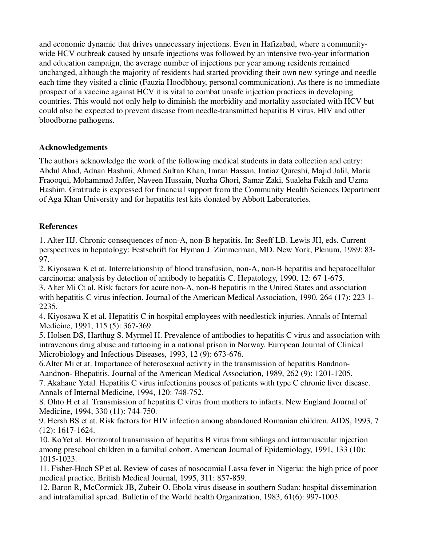and economic dynamic that drives unnecessary injections. Even in Hafizabad, where a communitywide HCV outbreak caused by unsafe injections was followed by an intensive two-year information and education campaign, the average number of injections per year among residents remained unchanged, although the majority of residents had started providing their own new syringe and needle each time they visited a clinic (Fauzia Hoodbhouy, personal communication). As there is no immediate prospect of a vaccine against HCV it is vital to combat unsafe injection practices in developing countries. This would not only help to diminish the morbidity and mortality associated with HCV but could also be expected to prevent disease from needle-transmitted hepatitis B virus, HIV and other bloodborne pathogens.

### **Acknowledgements**

The authors acknowledge the work of the following medical students in data collection and entry: Abdul Ahad, Adnan Hashmi, Ahmed Sultan Khan, Imran Hassan, Imtiaz Qureshi, Majid Jalil, Maria Fraooqui, Mohammad Jaffer, Naveen Hussain, Nuzha Ghori, Samar Zaki, Sualeha Fakih and Uzma Hashim. Gratitude is expressed for financial support from the Community Health Sciences Department of Aga Khan University and for hepatitis test kits donated by Abbott Laboratories.

### **References**

1. Alter HJ. Chronic consequences of non-A, non-B hepatitis. In: Seeff LB. Lewis JH, eds. Current perspectives in hepatology: Festschrift for Hyman J. Zimmerman, MD. New York, Plenum, 1989: 83- 97.

2. Kiyosawa K et at. Interrelationship of blood transfusion, non-A, non-B hepatitis and hepatocellular carcinoma: analysis by detection of antibody to hepatitis C. Hepatology, 1990, 12: 67 1-675.

3. Alter Mi Ct al. Risk factors for acute non-A, non-B hepatitis in the United States and association with hepatitis C virus infection. Journal of the American Medical Association, 1990, 264 (17): 223 1- 2235.

4. Kiyosawa K et al. Hepatitis C in hospital employees with needlestick injuries. Annals of Internal Medicine, 1991, 115 (5): 367-369.

5. Holsen DS, Harthug S. Myrmel H. Prevalence of antibodies to hepatitis C virus and association with intravenous drug abuse and tattooing in a national prison in Norway. European Journal of Clinical Microbiology and Infectious Diseases, 1993, 12 (9): 673-676.

6.Alter Mi et at. Importance of heterosexual activity in the transmission of hepatitis Bandnon-Aandnon- Bhepatitis. Journal of the American Medical Association, 1989, 262 (9): 1201-1205.

7. Akahane Yetal. Hepatitis C virus infectionins pouses of patients with type C chronic liver disease. Annals of Internal Medicine, 1994, 120: 748-752.

8. Ohto H et al. Transmission of hepatitis C virus from mothers to infants. New England Journal of Medicine, 1994, 330 (11): 744-750.

9. Hersh BS et at. Risk factors for HIV infection among abandoned Romanian children. AIDS, 1993, 7 (12): 1617-1624.

10. KoYet al. Horizontal transmission of hepatitis B virus from siblings and intramuscular injection among preschool children in a familial cohort. American Journal of Epidemiology, 1991, 133 (10): 1015-1023.

11. Fisher-Hoch SP et al. Review of cases of nosocomial Lassa fever in Nigeria: the high price of poor medical practice. British Medical Journal, 1995, 311: 857-859.

12. Baron R, McCormick JB, Zubeir O. Ebola virus disease in southern Sudan: hospital dissemination and intrafamilial spread. Bulletin of the World health Organization, 1983, 61(6): 997-1003.